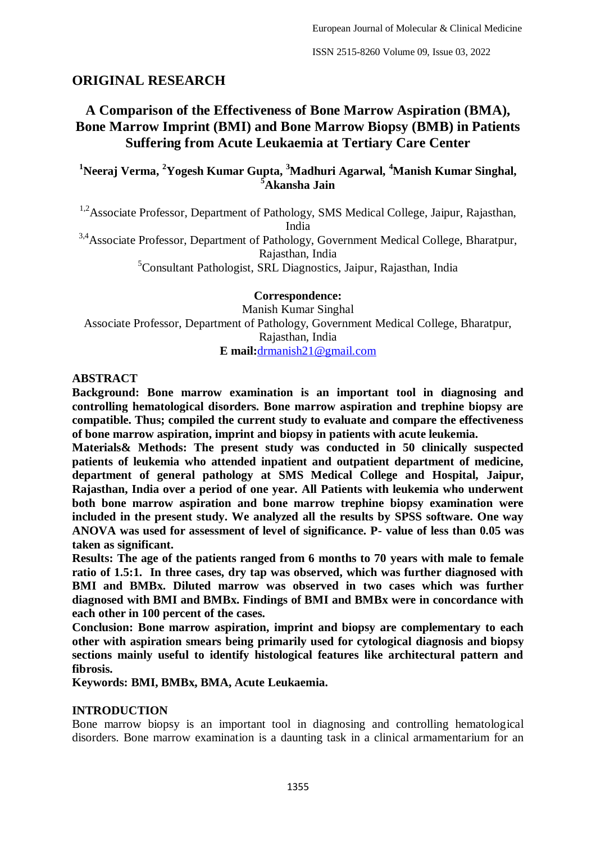# **ORIGINAL RESEARCH**

# **A Comparison of the Effectiveness of Bone Marrow Aspiration (BMA), Bone Marrow Imprint (BMI) and Bone Marrow Biopsy (BMB) in Patients Suffering from Acute Leukaemia at Tertiary Care Center**

## **<sup>1</sup>Neeraj Verma, <sup>2</sup>Yogesh Kumar Gupta, <sup>3</sup>Madhuri Agarwal, <sup>4</sup>Manish Kumar Singhal, <sup>5</sup>Akansha Jain**

<sup>1,2</sup>Associate Professor, Department of Pathology, SMS Medical College, Jaipur, Rajasthan, India

<sup>3,4</sup>Associate Professor, Department of Pathology, Government Medical College, Bharatpur, Rajasthan, India

<sup>5</sup>Consultant Pathologist, SRL Diagnostics, Jaipur, Rajasthan, India

#### **Correspondence:** Manish Kumar Singhal

Associate Professor, Department of Pathology, Government Medical College, Bharatpur, Rajasthan, India

**E mail:**[drmanish21@gmail.com](mailto:drmanish21@gmail.com)

## **ABSTRACT**

**Background: Bone marrow examination is an important tool in diagnosing and controlling hematological disorders. Bone marrow aspiration and trephine biopsy are compatible. Thus; compiled the current study to evaluate and compare the effectiveness of bone marrow aspiration, imprint and biopsy in patients with acute leukemia.**

**Materials& Methods: The present study was conducted in 50 clinically suspected patients of leukemia who attended inpatient and outpatient department of medicine, department of general pathology at SMS Medical College and Hospital, Jaipur, Rajasthan, India over a period of one year. All Patients with leukemia who underwent both bone marrow aspiration and bone marrow trephine biopsy examination were included in the present study. We analyzed all the results by SPSS software. One way ANOVA was used for assessment of level of significance. P- value of less than 0.05 was taken as significant.**

**Results: The age of the patients ranged from 6 months to 70 years with male to female ratio of 1.5:1. In three cases, dry tap was observed, which was further diagnosed with BMI and BMBx. Diluted marrow was observed in two cases which was further diagnosed with BMI and BMBx. Findings of BMI and BMBx were in concordance with each other in 100 percent of the cases.**

**Conclusion: Bone marrow aspiration, imprint and biopsy are complementary to each other with aspiration smears being primarily used for cytological diagnosis and biopsy sections mainly useful to identify histological features like architectural pattern and fibrosis.**

**Keywords: BMI, BMBx, BMA, Acute Leukaemia.**

## **INTRODUCTION**

Bone marrow biopsy is an important tool in diagnosing and controlling hematological disorders. Bone marrow examination is a daunting task in a clinical armamentarium for an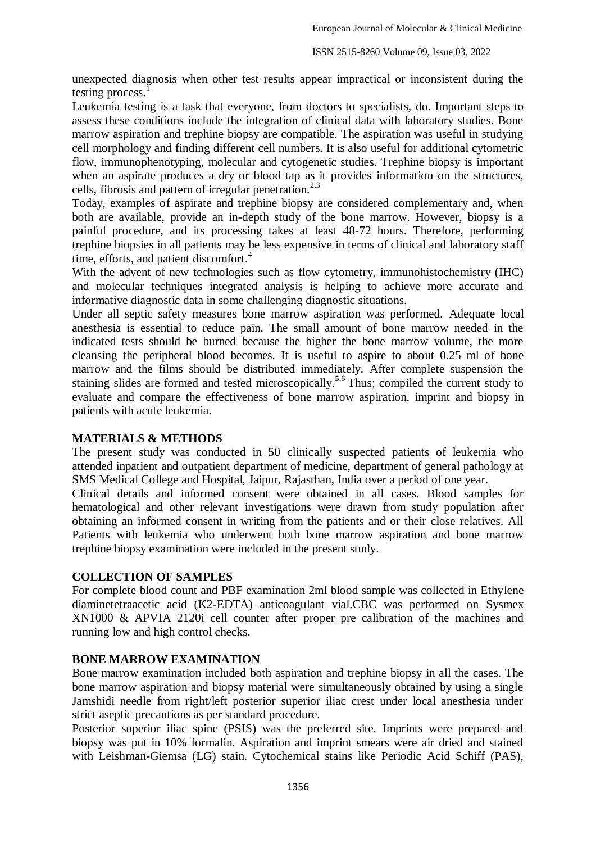unexpected diagnosis when other test results appear impractical or inconsistent during the testing process.<sup>1</sup>

Leukemia testing is a task that everyone, from doctors to specialists, do. Important steps to assess these conditions include the integration of clinical data with laboratory studies. Bone marrow aspiration and trephine biopsy are compatible. The aspiration was useful in studying cell morphology and finding different cell numbers. It is also useful for additional cytometric flow, immunophenotyping, molecular and cytogenetic studies. Trephine biopsy is important when an aspirate produces a dry or blood tap as it provides information on the structures, cells, fibrosis and pattern of irregular penetration.<sup>2,3</sup>

Today, examples of aspirate and trephine biopsy are considered complementary and, when both are available, provide an in-depth study of the bone marrow. However, biopsy is a painful procedure, and its processing takes at least 48-72 hours. Therefore, performing trephine biopsies in all patients may be less expensive in terms of clinical and laboratory staff time, efforts, and patient discomfort.<sup>4</sup>

With the advent of new technologies such as flow cytometry, immunohistochemistry (IHC) and molecular techniques integrated analysis is helping to achieve more accurate and informative diagnostic data in some challenging diagnostic situations.

Under all septic safety measures bone marrow aspiration was performed. Adequate local anesthesia is essential to reduce pain. The small amount of bone marrow needed in the indicated tests should be burned because the higher the bone marrow volume, the more cleansing the peripheral blood becomes. It is useful to aspire to about 0.25 ml of bone marrow and the films should be distributed immediately. After complete suspension the staining slides are formed and tested microscopically.<sup>5,6</sup> Thus; compiled the current study to evaluate and compare the effectiveness of bone marrow aspiration, imprint and biopsy in patients with acute leukemia.

## **MATERIALS & METHODS**

The present study was conducted in 50 clinically suspected patients of leukemia who attended inpatient and outpatient department of medicine, department of general pathology at SMS Medical College and Hospital, Jaipur, Rajasthan, India over a period of one year.

Clinical details and informed consent were obtained in all cases. Blood samples for hematological and other relevant investigations were drawn from study population after obtaining an informed consent in writing from the patients and or their close relatives. All Patients with leukemia who underwent both bone marrow aspiration and bone marrow trephine biopsy examination were included in the present study.

## **COLLECTION OF SAMPLES**

For complete blood count and PBF examination 2ml blood sample was collected in Ethylene diaminetetraacetic acid (K2-EDTA) anticoagulant vial.CBC was performed on Sysmex XN1000 & APVIA 2120i cell counter after proper pre calibration of the machines and running low and high control checks.

## **BONE MARROW EXAMINATION**

Bone marrow examination included both aspiration and trephine biopsy in all the cases. The bone marrow aspiration and biopsy material were simultaneously obtained by using a single Jamshidi needle from right/left posterior superior iliac crest under local anesthesia under strict aseptic precautions as per standard procedure.

Posterior superior iliac spine (PSIS) was the preferred site. Imprints were prepared and biopsy was put in 10% formalin. Aspiration and imprint smears were air dried and stained with Leishman-Giemsa (LG) stain. Cytochemical stains like Periodic Acid Schiff (PAS),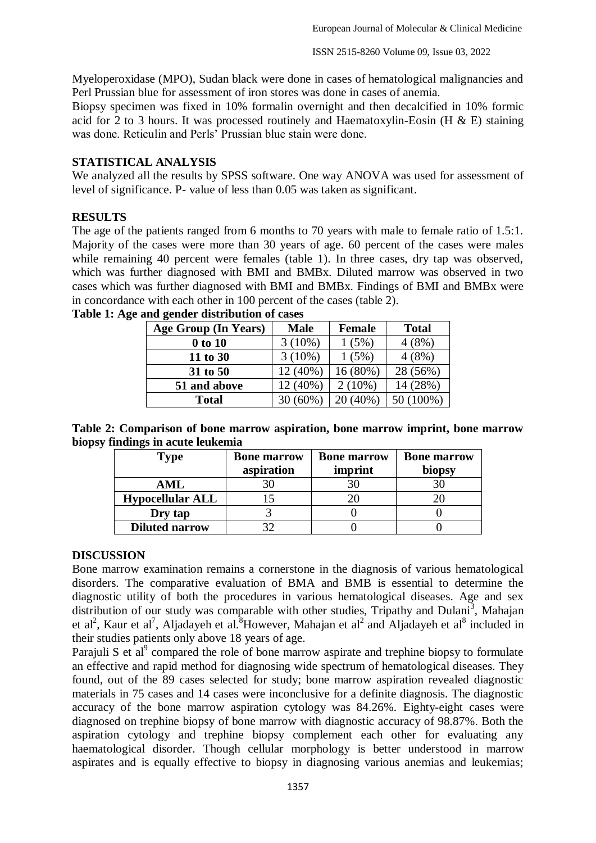Myeloperoxidase (MPO), Sudan black were done in cases of hematological malignancies and Perl Prussian blue for assessment of iron stores was done in cases of anemia.

Biopsy specimen was fixed in 10% formalin overnight and then decalcified in 10% formic acid for 2 to 3 hours. It was processed routinely and Haematoxylin-Eosin (H  $\&$  E) staining was done. Reticulin and Perls' Prussian blue stain were done.

## **STATISTICAL ANALYSIS**

We analyzed all the results by SPSS software. One way ANOVA was used for assessment of level of significance. P- value of less than 0.05 was taken as significant.

## **RESULTS**

The age of the patients ranged from 6 months to 70 years with male to female ratio of 1.5:1. Majority of the cases were more than 30 years of age. 60 percent of the cases were males while remaining 40 percent were females (table 1). In three cases, dry tap was observed, which was further diagnosed with BMI and BMBx. Diluted marrow was observed in two cases which was further diagnosed with BMI and BMBx. Findings of BMI and BMBx were in concordance with each other in 100 percent of the cases (table 2).

| Age Group (In Years) | <b>Male</b> | <b>Female</b> | <b>Total</b> |
|----------------------|-------------|---------------|--------------|
| 0 to 10              | $3(10\%)$   | 1(5%)         | 4(8%)        |
| 11 to 30             | $3(10\%)$   | 1(5%)         | 4(8%)        |
| 31 to 50             | $12(40\%)$  | 16 (80%)      | 28 (56%)     |
| 51 and above         | 12 (40%)    | $2(10\%)$     | 14 (28%)     |
| <b>Total</b>         | $30(60\%)$  | 20(40%)       | 50 (100%)    |

**Table 1: Age and gender distribution of cases**

| Table 2: Comparison of bone marrow aspiration, bone marrow imprint, bone marrow |  |  |  |
|---------------------------------------------------------------------------------|--|--|--|
| biopsy findings in acute leukemia                                               |  |  |  |

| Type                    | <b>Bone marrow</b> | <b>Bone marrow</b> | <b>Bone marrow</b> |  |
|-------------------------|--------------------|--------------------|--------------------|--|
|                         | aspiration         | imprint            | biopsy             |  |
| AML                     |                    |                    |                    |  |
| <b>Hypocellular ALL</b> |                    |                    |                    |  |
| Dry tap                 |                    |                    |                    |  |
| <b>Diluted narrow</b>   |                    |                    |                    |  |

#### **DISCUSSION**

Bone marrow examination remains a cornerstone in the diagnosis of various hematological disorders. The comparative evaluation of BMA and BMB is essential to determine the diagnostic utility of both the procedures in various hematological diseases. Age and sex distribution of our study was comparable with other studies, Tripathy and Dulani<sup>3</sup>, Mahajan et al<sup>2</sup>, Kaur et al<sup>7</sup>, Aljadayeh et al.<sup>8</sup>However, Mahajan et al<sup>2</sup> and Aljadayeh et al<sup>8</sup> included in their studies patients only above 18 years of age.

Parajuli S et al<sup>9</sup> compared the role of bone marrow aspirate and trephine biopsy to formulate an effective and rapid method for diagnosing wide spectrum of hematological diseases. They found, out of the 89 cases selected for study; bone marrow aspiration revealed diagnostic materials in 75 cases and 14 cases were inconclusive for a definite diagnosis. The diagnostic accuracy of the bone marrow aspiration cytology was 84.26%. Eighty-eight cases were diagnosed on trephine biopsy of bone marrow with diagnostic accuracy of 98.87%. Both the aspiration cytology and trephine biopsy complement each other for evaluating any haematological disorder. Though cellular morphology is better understood in marrow aspirates and is equally effective to biopsy in diagnosing various anemias and leukemias;